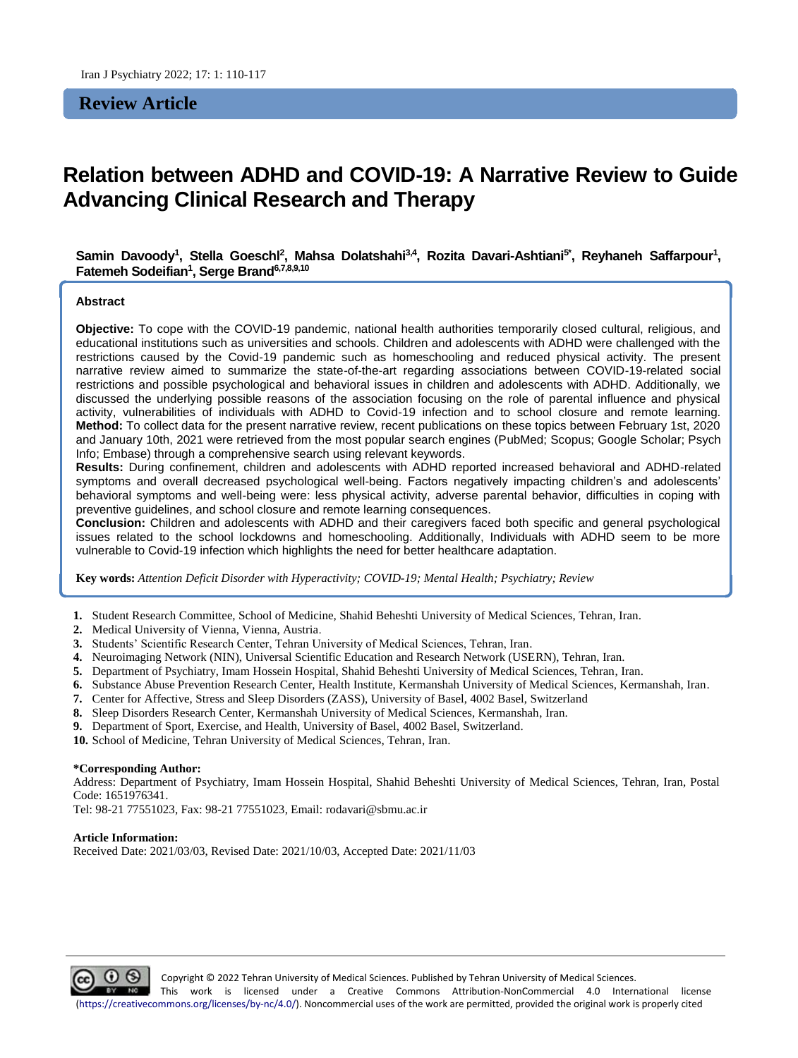**Review Article**

# **Relation between ADHD and COVID-19: A Narrative Review to Guide Advancing Clinical Research and Therapy**

Samin Davoody<sup>1</sup>, Stella Goeschl<sup>2</sup>, Mahsa Dolatshahi<sup>3,4</sup>, Rozita Davari-Ashtiani<sup>s</sup>\*, Reyhaneh Saffarpour<sup>1</sup>, **Fatemeh Sodeifian<sup>1</sup> , Serge Brand6,7,8,9,10**

#### **Abstract**

**Objective:** To cope with the COVID-19 pandemic, national health authorities temporarily closed cultural, religious, and educational institutions such as universities and schools. Children and adolescents with ADHD were challenged with the restrictions caused by the Covid-19 pandemic such as homeschooling and reduced physical activity. The present narrative review aimed to summarize the state-of-the-art regarding associations between COVID-19-related social restrictions and possible psychological and behavioral issues in children and adolescents with ADHD. Additionally, we discussed the underlying possible reasons of the association focusing on the role of parental influence and physical activity, vulnerabilities of individuals with ADHD to Covid-19 infection and to school closure and remote learning. **Method:** To collect data for the present narrative review, recent publications on these topics between February 1st, 2020 and January 10th, 2021 were retrieved from the most popular search engines (PubMed; Scopus; Google Scholar; Psych Info; Embase) through a comprehensive search using relevant keywords.

**Results:** During confinement, children and adolescents with ADHD reported increased behavioral and ADHD-related symptoms and overall decreased psychological well-being. Factors negatively impacting children's and adolescents' behavioral symptoms and well-being were: less physical activity, adverse parental behavior, difficulties in coping with preventive guidelines, and school closure and remote learning consequences.

**Conclusion:** Children and adolescents with ADHD and their caregivers faced both specific and general psychological issues related to the school lockdowns and homeschooling. Additionally, Individuals with ADHD seem to be more vulnerable to Covid-19 infection which highlights the need for better healthcare adaptation.

**Key words:** *Attention Deficit Disorder with Hyperactivity; COVID-19; Mental Health; Psychiatry; Review*

**1.** Student Research Committee, School of Medicine, Shahid Beheshti University of Medical Sciences, Tehran, Iran.

- **2.** Medical University of Vienna, Vienna, Austria*.*
- **3.** Students' Scientific Research Center, Tehran University of Medical Sciences, Tehran, Iran.
- **4.** Neuroimaging Network (NIN), Universal Scientific Education and Research Network (USERN), Tehran, Iran.
- **5.** Department of Psychiatry, Imam Hossein Hospital, Shahid Beheshti University of Medical Sciences, Tehran, Iran.
- **6.** Substance Abuse Prevention Research Center, Health Institute, Kermanshah University of Medical Sciences, Kermanshah, Iran.
- **7.** Center for Affective, Stress and Sleep Disorders (ZASS), University of Basel, 4002 Basel, Switzerland
- **8.** Sleep Disorders Research Center, Kermanshah University of Medical Sciences, Kermanshah, Iran.
- **9.** Department of Sport, Exercise, and Health, University of Basel, 4002 Basel, Switzerland.
- **10.** School of Medicine, Tehran University of Medical Sciences, Tehran, Iran.

#### **\*Corresponding Author:**

Address: Department of Psychiatry, Imam Hossein Hospital, Shahid Beheshti University of Medical Sciences, Tehran, Iran, Postal Code: 1651976341.

Tel: 98-21 77551023, Fax: 98-21 77551023, Email: rodavari@sbmu.ac.ir

#### **Article Information:**

Received Date: 2021/03/03, Revised Date: 2021/10/03, Accepted Date: 2021/11/03

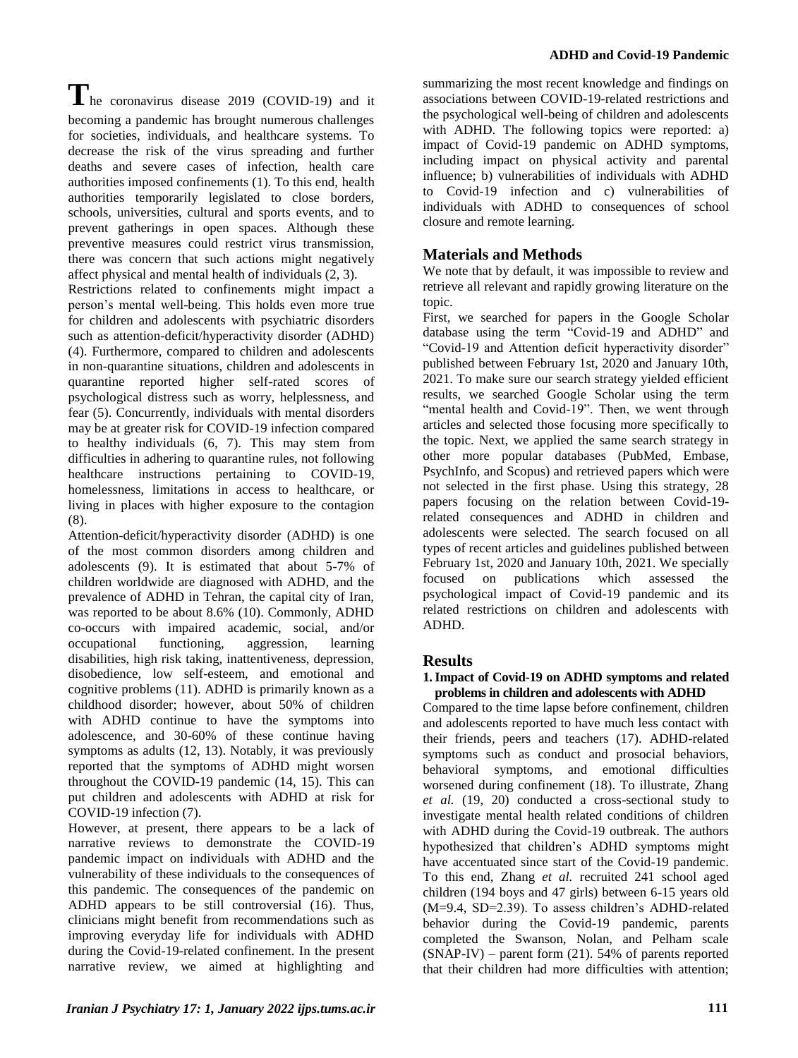The coronavirus disease 2019 (COVID-19) and it becoming a pandemic has brought numerous challenges for societies, individuals, and healthcare systems. To decrease the risk of the virus spreading and further deaths and severe cases of infection, health care authorities imposed confinements (1). To this end, health authorities temporarily legislated to close borders, schools, universities, cultural and sports events, and to prevent gatherings in open spaces. Although these preventive measures could restrict virus transmission, there was concern that such actions might negatively affect physical and mental health of individuals (2, 3).

Restrictions related to confinements might impact a person's mental well-being. This holds even more true for children and adolescents with psychiatric disorders such as attention-deficit/hyperactivity disorder (ADHD) (4). Furthermore, compared to children and adolescents in non-quarantine situations, children and adolescents in quarantine reported higher self-rated scores of psychological distress such as worry, helplessness, and fear (5). Concurrently, individuals with mental disorders may be at greater risk for COVID-19 infection compared to healthy individuals (6, 7). This may stem from difficulties in adhering to quarantine rules, not following healthcare instructions pertaining to COVID-19, homelessness, limitations in access to healthcare, or living in places with higher exposure to the contagion (8).

Attention-deficit/hyperactivity disorder (ADHD) is one of the most common disorders among children and adolescents (9). It is estimated that about 5-7% of children worldwide are diagnosed with ADHD, and the prevalence of ADHD in Tehran, the capital city of Iran, was reported to be about 8.6% (10). Commonly, ADHD co-occurs with impaired academic, social, and/or occupational functioning, aggression, learning disabilities, high risk taking, inattentiveness, depression, disobedience, low self-esteem, and emotional and cognitive problems (11). ADHD is primarily known as a childhood disorder; however, about 50% of children with ADHD continue to have the symptoms into adolescence, and 30-60% of these continue having symptoms as adults (12, 13). Notably, it was previously reported that the symptoms of ADHD might worsen throughout the COVID-19 pandemic (14, 15). This can put children and adolescents with ADHD at risk for COVID-19 infection (7).

However, at present, there appears to be a lack of narrative reviews to demonstrate the COVID-19 pandemic impact on individuals with ADHD and the vulnerability of these individuals to the consequences of this pandemic. The consequences of the pandemic on ADHD appears to be still controversial (16). Thus, clinicians might benefit from recommendations such as improving everyday life for individuals with ADHD during the Covid-19-related confinement. In the present narrative review, we aimed at highlighting and summarizing the most recent knowledge and findings on associations between COVID-19-related restrictions and the psychological well-being of children and adolescents with ADHD. The following topics were reported: a) impact of Covid-19 pandemic on ADHD symptoms, including impact on physical activity and parental influence; b) vulnerabilities of individuals with ADHD to Covid-19 infection and c) vulnerabilities of individuals with ADHD to consequences of school closure and remote learning.

# **Materials and Methods**

We note that by default, it was impossible to review and retrieve all relevant and rapidly growing literature on the topic.

First, we searched for papers in the Google Scholar database using the term "Covid-19 and ADHD" and "Covid-19 and Attention deficit hyperactivity disorder" published between February 1st, 2020 and January 10th, 2021. To make sure our search strategy yielded efficient results, we searched Google Scholar using the term "mental health and Covid-19". Then, we went through articles and selected those focusing more specifically to the topic. Next, we applied the same search strategy in other more popular databases (PubMed, Embase, PsychInfo, and Scopus) and retrieved papers which were not selected in the first phase. Using this strategy, 28 papers focusing on the relation between Covid-19 related consequences and ADHD in children and adolescents were selected. The search focused on all types of recent articles and guidelines published between February 1st, 2020 and January 10th, 2021. We specially focused on publications which assessed the psychological impact of Covid-19 pandemic and its related restrictions on children and adolescents with ADHD.

# **Results**

#### **1.Impact of Covid-19 on ADHD symptoms and related problems in children and adolescents with ADHD**

Compared to the time lapse before confinement, children and adolescents reported to have much less contact with their friends, peers and teachers (17). ADHD-related symptoms such as conduct and prosocial behaviors, behavioral symptoms, and emotional difficulties worsened during confinement (18). To illustrate, Zhang *et al.* (19, 20) conducted a cross-sectional study to investigate mental health related conditions of children with ADHD during the Covid-19 outbreak. The authors hypothesized that children's ADHD symptoms might have accentuated since start of the Covid-19 pandemic. To this end, Zhang *et al.* recruited 241 school aged children (194 boys and 47 girls) between 6-15 years old (M=9.4, SD=2.39). To assess children's ADHD-related behavior during the Covid-19 pandemic, parents completed the Swanson, Nolan, and Pelham scale (SNAP-IV) – parent form (21). 54% of parents reported that their children had more difficulties with attention;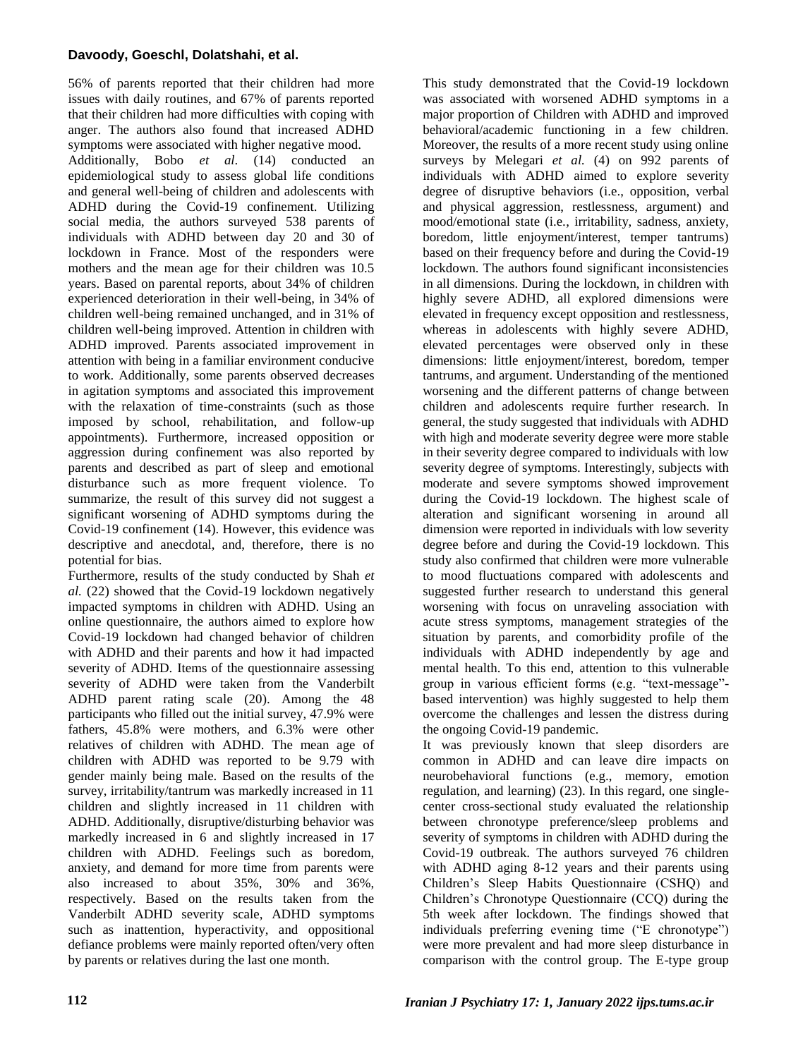## **Davoody, Goeschl, Dolatshahi, et al.**

56% of parents reported that their children had more issues with daily routines, and 67% of parents reported that their children had more difficulties with coping with anger. The authors also found that increased ADHD symptoms were associated with higher negative mood. Additionally, Bobo *et al*. (14) conducted an epidemiological study to assess global life conditions and general well-being of children and adolescents with ADHD during the Covid-19 confinement. Utilizing social media, the authors surveyed 538 parents of individuals with ADHD between day 20 and 30 of lockdown in France. Most of the responders were mothers and the mean age for their children was 10.5 years. Based on parental reports, about 34% of children experienced deterioration in their well-being, in 34% of children well-being remained unchanged, and in 31% of children well-being improved. Attention in children with ADHD improved. Parents associated improvement in attention with being in a familiar environment conducive to work. Additionally, some parents observed decreases in agitation symptoms and associated this improvement with the relaxation of time-constraints (such as those imposed by school, rehabilitation, and follow-up appointments). Furthermore, increased opposition or aggression during confinement was also reported by parents and described as part of sleep and emotional disturbance such as more frequent violence. To summarize, the result of this survey did not suggest a significant worsening of ADHD symptoms during the Covid-19 confinement (14). However, this evidence was descriptive and anecdotal, and, therefore, there is no potential for bias.

Furthermore, results of the study conducted by Shah *et al.* (22) showed that the Covid-19 lockdown negatively impacted symptoms in children with ADHD. Using an online questionnaire, the authors aimed to explore how Covid-19 lockdown had changed behavior of children with ADHD and their parents and how it had impacted severity of ADHD. Items of the questionnaire assessing severity of ADHD were taken from the Vanderbilt ADHD parent rating scale (20). Among the 48 participants who filled out the initial survey, 47.9% were fathers, 45.8% were mothers, and 6.3% were other relatives of children with ADHD. The mean age of children with ADHD was reported to be 9.79 with gender mainly being male. Based on the results of the survey, irritability/tantrum was markedly increased in 11 children and slightly increased in 11 children with ADHD. Additionally, disruptive/disturbing behavior was markedly increased in 6 and slightly increased in 17 children with ADHD. Feelings such as boredom, anxiety, and demand for more time from parents were also increased to about 35%, 30% and 36%, respectively. Based on the results taken from the Vanderbilt ADHD severity scale, ADHD symptoms such as inattention, hyperactivity, and oppositional defiance problems were mainly reported often/very often by parents or relatives during the last one month.

This study demonstrated that the Covid-19 lockdown was associated with worsened ADHD symptoms in a major proportion of Children with ADHD and improved behavioral/academic functioning in a few children. Moreover, the results of a more recent study using online surveys by Melegari *et al.* (4) on 992 parents of individuals with ADHD aimed to explore severity degree of disruptive behaviors (i.e., opposition, verbal and physical aggression, restlessness, argument) and mood/emotional state (i.e., irritability, sadness, anxiety, boredom, little enjoyment/interest, temper tantrums) based on their frequency before and during the Covid-19 lockdown. The authors found significant inconsistencies in all dimensions. During the lockdown, in children with highly severe ADHD, all explored dimensions were elevated in frequency except opposition and restlessness, whereas in adolescents with highly severe ADHD, elevated percentages were observed only in these dimensions: little enjoyment/interest, boredom, temper tantrums, and argument. Understanding of the mentioned worsening and the different patterns of change between children and adolescents require further research. In general, the study suggested that individuals with ADHD with high and moderate severity degree were more stable in their severity degree compared to individuals with low severity degree of symptoms. Interestingly, subjects with moderate and severe symptoms showed improvement during the Covid-19 lockdown. The highest scale of alteration and significant worsening in around all dimension were reported in individuals with low severity degree before and during the Covid-19 lockdown. This study also confirmed that children were more vulnerable to mood fluctuations compared with adolescents and suggested further research to understand this general worsening with focus on unraveling association with acute stress symptoms, management strategies of the situation by parents, and comorbidity profile of the individuals with ADHD independently by age and mental health. To this end, attention to this vulnerable group in various efficient forms (e.g. "text-message" based intervention) was highly suggested to help them overcome the challenges and lessen the distress during the ongoing Covid-19 pandemic.

It was previously known that sleep disorders are common in ADHD and can leave dire impacts on neurobehavioral functions (e.g., memory, emotion regulation, and learning) (23). In this regard, one singlecenter cross-sectional study evaluated the relationship between chronotype preference/sleep problems and severity of symptoms in children with ADHD during the Covid-19 outbreak. The authors surveyed 76 children with ADHD aging 8-12 years and their parents using Children's Sleep Habits Questionnaire (CSHQ) and Children's Chronotype Questionnaire (CCQ) during the 5th week after lockdown. The findings showed that individuals preferring evening time ("E chronotype") were more prevalent and had more sleep disturbance in comparison with the control group. The E-type group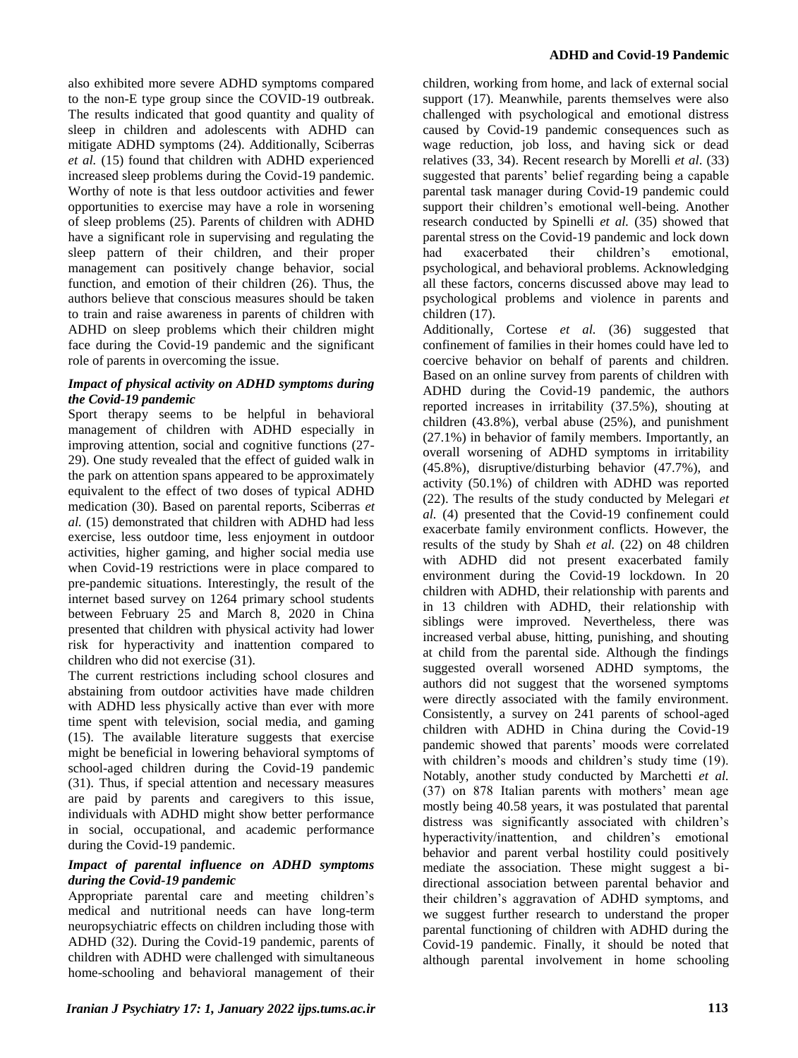also exhibited more severe ADHD symptoms compared to the non-E type group since the COVID-19 outbreak. The results indicated that good quantity and quality of sleep in children and adolescents with ADHD can mitigate ADHD symptoms (24). Additionally, Sciberras *et al.* (15) found that children with ADHD experienced increased sleep problems during the Covid-19 pandemic. Worthy of note is that less outdoor activities and fewer opportunities to exercise may have a role in worsening of sleep problems (25). Parents of children with ADHD have a significant role in supervising and regulating the sleep pattern of their children, and their proper management can positively change behavior, social function, and emotion of their children (26). Thus, the authors believe that conscious measures should be taken to train and raise awareness in parents of children with ADHD on sleep problems which their children might face during the Covid-19 pandemic and the significant role of parents in overcoming the issue.

## *Impact of physical activity on ADHD symptoms during the Covid-19 pandemic*

Sport therapy seems to be helpful in behavioral management of children with ADHD especially in improving attention, social and cognitive functions (27- 29). One study revealed that the effect of guided walk in the park on attention spans appeared to be approximately equivalent to the effect of two doses of typical ADHD medication (30). Based on parental reports, Sciberras *et al.* (15) demonstrated that children with ADHD had less exercise, less outdoor time, less enjoyment in outdoor activities, higher gaming, and higher social media use when Covid-19 restrictions were in place compared to pre-pandemic situations. Interestingly, the result of the internet based survey on 1264 primary school students between February 25 and March 8, 2020 in China presented that children with physical activity had lower risk for hyperactivity and inattention compared to children who did not exercise (31).

The current restrictions including school closures and abstaining from outdoor activities have made children with ADHD less physically active than ever with more time spent with television, social media, and gaming (15). The available literature suggests that exercise might be beneficial in lowering behavioral symptoms of school-aged children during the Covid-19 pandemic (31). Thus, if special attention and necessary measures are paid by parents and caregivers to this issue, individuals with ADHD might show better performance in social, occupational, and academic performance during the Covid-19 pandemic.

### *Impact of parental influence on ADHD symptoms during the Covid-19 pandemic*

Appropriate parental care and meeting children's medical and nutritional needs can have long-term neuropsychiatric effects on children including those with ADHD (32). During the Covid-19 pandemic, parents of children with ADHD were challenged with simultaneous home-schooling and behavioral management of their children, working from home, and lack of external social support (17). Meanwhile, parents themselves were also challenged with psychological and emotional distress caused by Covid-19 pandemic consequences such as wage reduction, job loss, and having sick or dead relatives (33, 34). Recent research by Morelli *et al*. (33) suggested that parents' belief regarding being a capable parental task manager during Covid-19 pandemic could support their children's emotional well-being. Another research conducted by Spinelli *et al.* (35) showed that parental stress on the Covid-19 pandemic and lock down<br>had exacerbated their children's emotional, had exacerbated their children's emotional, psychological, and behavioral problems. Acknowledging all these factors, concerns discussed above may lead to psychological problems and violence in parents and children (17).

Additionally, Cortese *et al.* (36) suggested that confinement of families in their homes could have led to coercive behavior on behalf of parents and children. Based on an online survey from parents of children with ADHD during the Covid-19 pandemic, the authors reported increases in irritability (37.5%), shouting at children (43.8%), verbal abuse (25%), and punishment (27.1%) in behavior of family members. Importantly, an overall worsening of ADHD symptoms in irritability (45.8%), disruptive/disturbing behavior (47.7%), and activity (50.1%) of children with ADHD was reported (22). The results of the study conducted by Melegari *et al.* (4) presented that the Covid-19 confinement could exacerbate family environment conflicts. However, the results of the study by Shah *et al.* (22) on 48 children with ADHD did not present exacerbated family environment during the Covid-19 lockdown. In 20 children with ADHD, their relationship with parents and in 13 children with ADHD, their relationship with siblings were improved. Nevertheless, there was increased verbal abuse, hitting, punishing, and shouting at child from the parental side. Although the findings suggested overall worsened ADHD symptoms, the authors did not suggest that the worsened symptoms were directly associated with the family environment. Consistently, a survey on 241 parents of school-aged children with ADHD in China during the Covid-19 pandemic showed that parents' moods were correlated with children's moods and children's study time (19). Notably, another study conducted by Marchetti *et al.* (37) on 878 Italian parents with mothers' mean age mostly being 40.58 years, it was postulated that parental distress was significantly associated with children's hyperactivity/inattention, and children's emotional behavior and parent verbal hostility could positively mediate the association. These might suggest a bidirectional association between parental behavior and their children's aggravation of ADHD symptoms, and we suggest further research to understand the proper parental functioning of children with ADHD during the Covid-19 pandemic. Finally, it should be noted that although parental involvement in home schooling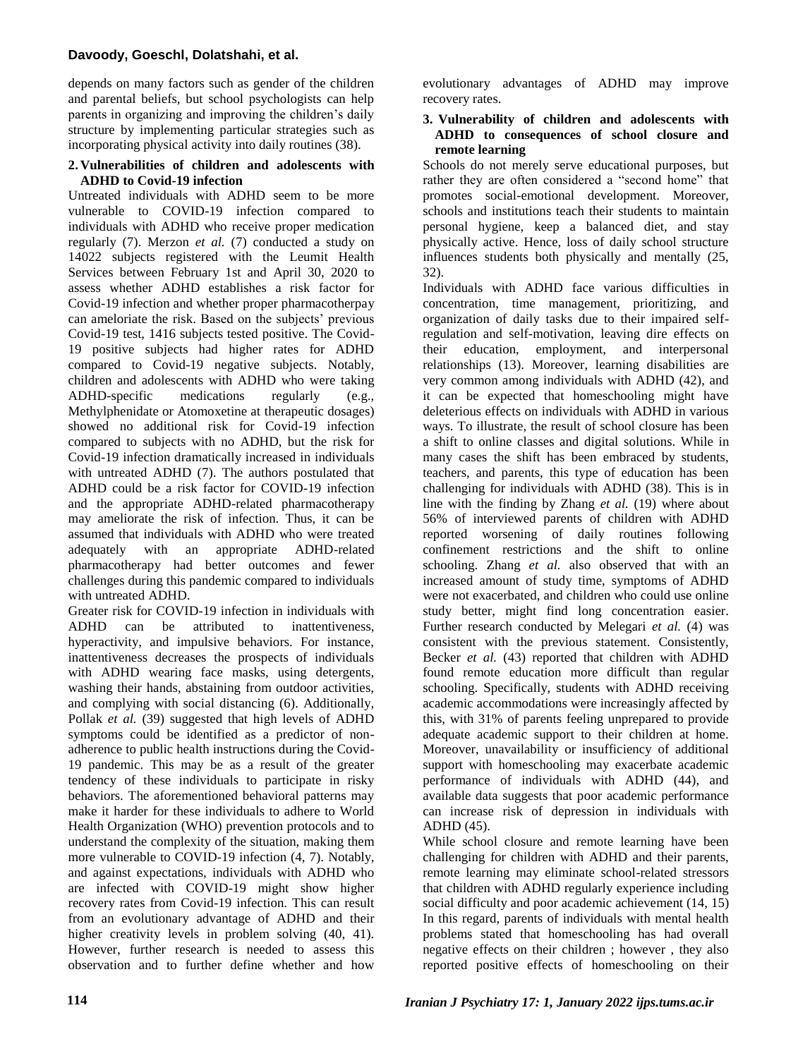## **Davoody, Goeschl, Dolatshahi, et al.**

depends on many factors such as gender of the children and parental beliefs, but school psychologists can help parents in organizing and improving the children's daily structure by implementing particular strategies such as incorporating physical activity into daily routines (38).

#### **2. Vulnerabilities of children and adolescents with ADHD to Covid-19 infection**

Untreated individuals with ADHD seem to be more vulnerable to COVID-19 infection compared to individuals with ADHD who receive proper medication regularly (7). Merzon *et al.* (7) conducted a study on 14022 subjects registered with the Leumit Health Services between February 1st and April 30, 2020 to assess whether ADHD establishes a risk factor for Covid-19 infection and whether proper pharmacotherpay can ameloriate the risk. Based on the subjects' previous Covid-19 test, 1416 subjects tested positive. The Covid-19 positive subjects had higher rates for ADHD compared to Covid-19 negative subjects. Notably, children and adolescents with ADHD who were taking<br>ADHD-specific medications regularly (e.g., ADHD-specific medications regularly (e.g., Methylphenidate or Atomoxetine at therapeutic dosages) showed no additional risk for Covid-19 infection compared to subjects with no ADHD, but the risk for Covid-19 infection dramatically increased in individuals with untreated ADHD (7). The authors postulated that ADHD could be a risk factor for COVID-19 infection and the appropriate ADHD-related pharmacotherapy may ameliorate the risk of infection. Thus, it can be assumed that individuals with ADHD who were treated adequately with an appropriate ADHD-related pharmacotherapy had better outcomes and fewer challenges during this pandemic compared to individuals with untreated ADHD.

Greater risk for COVID-19 infection in individuals with ADHD can be attributed to inattentiveness, hyperactivity, and impulsive behaviors. For instance, inattentiveness decreases the prospects of individuals with ADHD wearing face masks, using detergents, washing their hands, abstaining from outdoor activities, and complying with social distancing (6). Additionally, Pollak *et al.* (39) suggested that high levels of ADHD symptoms could be identified as a predictor of nonadherence to public health instructions during the Covid-19 pandemic. This may be as a result of the greater tendency of these individuals to participate in risky behaviors. The aforementioned behavioral patterns may make it harder for these individuals to adhere to World Health Organization (WHO) prevention protocols and to understand the complexity of the situation, making them more vulnerable to COVID-19 infection (4, 7). Notably, and against expectations, individuals with ADHD who are infected with COVID-19 might show higher recovery rates from Covid-19 infection. This can result from an evolutionary advantage of ADHD and their higher creativity levels in problem solving  $(40, 41)$ . However, further research is needed to assess this observation and to further define whether and how

evolutionary advantages of ADHD may improve recovery rates.

### **3. Vulnerability of children and adolescents with ADHD to consequences of school closure and remote learning**

Schools do not merely serve educational purposes, but rather they are often considered a "second home" that promotes social-emotional development. Moreover, schools and institutions teach their students to maintain personal hygiene, keep a balanced diet, and stay physically active. Hence, loss of daily school structure influences students both physically and mentally (25, 32).

Individuals with ADHD face various difficulties in concentration, time management, prioritizing, and organization of daily tasks due to their impaired selfregulation and self-motivation, leaving dire effects on their education, employment, and interpersonal relationships (13). Moreover, learning disabilities are very common among individuals with ADHD (42), and it can be expected that homeschooling might have deleterious effects on individuals with ADHD in various ways. To illustrate, the result of school closure has been a shift to online classes and digital solutions. While in many cases the shift has been embraced by students, teachers, and parents, this type of education has been challenging for individuals with ADHD (38). This is in line with the finding by Zhang *et al.* (19) where about 56% of interviewed parents of children with ADHD reported worsening of daily routines following confinement restrictions and the shift to online schooling. Zhang *et al.* also observed that with an increased amount of study time, symptoms of ADHD were not exacerbated, and children who could use online study better, might find long concentration easier. Further research conducted by Melegari *et al.* (4) was consistent with the previous statement. Consistently, Becker *et al.* (43) reported that children with ADHD found remote education more difficult than regular schooling. Specifically, students with ADHD receiving academic accommodations were increasingly affected by this, with 31% of parents feeling unprepared to provide adequate academic support to their children at home. Moreover, unavailability or insufficiency of additional support with homeschooling may exacerbate academic performance of individuals with ADHD (44), and available data suggests that poor academic performance can increase risk of depression in individuals with ADHD (45).

While school closure and remote learning have been challenging for children with ADHD and their parents, remote learning may eliminate school-related stressors that children with ADHD regularly experience including social difficulty and poor academic achievement (14, 15) In this regard, parents of individuals with mental health problems stated that homeschooling has had overall negative effects on their children ; however , they also reported positive effects of homeschooling on their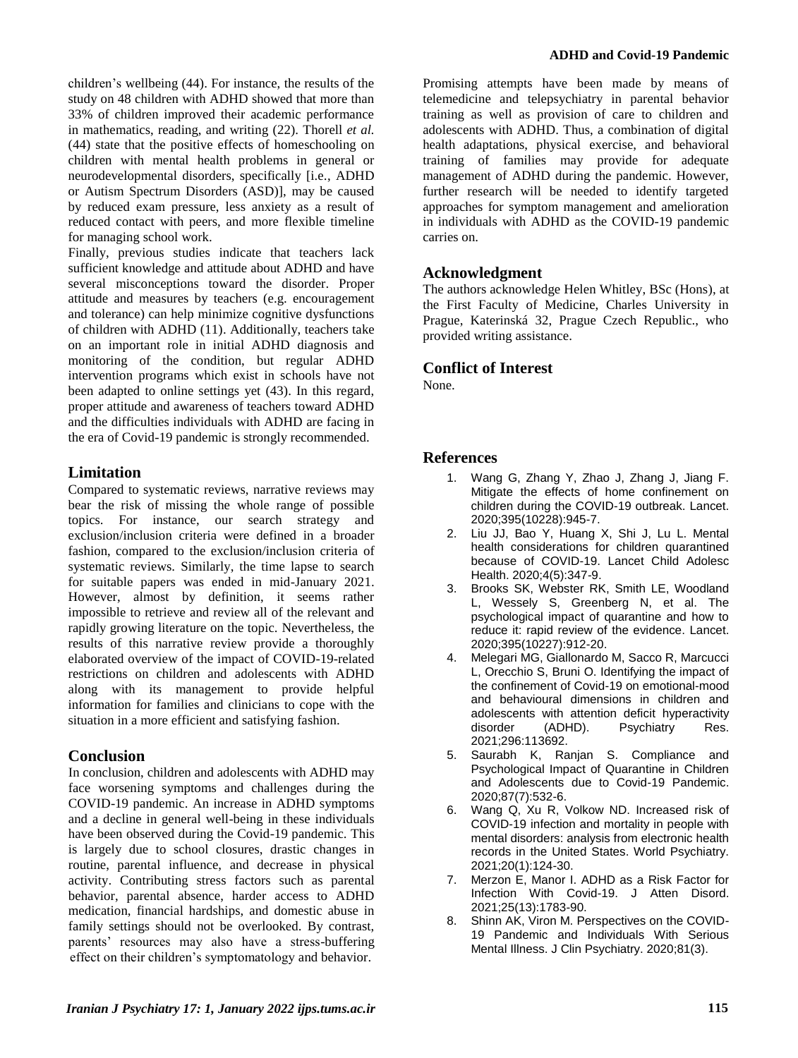children's wellbeing (44). For instance, the results of the study on 48 children with ADHD showed that more than 33% of children improved their academic performance in mathematics, reading, and writing (22). Thorell *et al.* (44) state that the positive effects of homeschooling on children with mental health problems in general or neurodevelopmental disorders, specifically [i.e., ADHD or Autism Spectrum Disorders (ASD)], may be caused by reduced exam pressure, less anxiety as a result of reduced contact with peers, and more flexible timeline for managing school work.

Finally, previous studies indicate that teachers lack sufficient knowledge and attitude about ADHD and have several misconceptions toward the disorder. Proper attitude and measures by teachers (e.g. encouragement and tolerance) can help minimize cognitive dysfunctions of children with ADHD (11). Additionally, teachers take on an important role in initial ADHD diagnosis and monitoring of the condition, but regular ADHD intervention programs which exist in schools have not been adapted to online settings yet (43). In this regard, proper attitude and awareness of teachers toward ADHD and the difficulties individuals with ADHD are facing in the era of Covid-19 pandemic is strongly recommended.

# **Limitation**

Compared to systematic reviews, narrative reviews may bear the risk of missing the whole range of possible topics. For instance, our search strategy and exclusion/inclusion criteria were defined in a broader fashion, compared to the exclusion/inclusion criteria of systematic reviews. Similarly, the time lapse to search for suitable papers was ended in mid-January 2021. However, almost by definition, it seems rather impossible to retrieve and review all of the relevant and rapidly growing literature on the topic. Nevertheless, the results of this narrative review provide a thoroughly elaborated overview of the impact of COVID-19-related restrictions on children and adolescents with ADHD along with its management to provide helpful information for families and clinicians to cope with the situation in a more efficient and satisfying fashion.

# **Conclusion**

In conclusion, children and adolescents with ADHD may face worsening symptoms and challenges during the COVID-19 pandemic. An increase in ADHD symptoms and a decline in general well-being in these individuals have been observed during the Covid-19 pandemic. This is largely due to school closures, drastic changes in routine, parental influence, and decrease in physical activity. Contributing stress factors such as parental behavior, parental absence, harder access to ADHD medication, financial hardships, and domestic abuse in family settings should not be overlooked. By contrast, parents' resources may also have a stress-buffering effect on their children's symptomatology and behavior.

Promising attempts have been made by means of telemedicine and telepsychiatry in parental behavior training as well as provision of care to children and adolescents with ADHD. Thus, a combination of digital health adaptations, physical exercise, and behavioral training of families may provide for adequate management of ADHD during the pandemic. However, further research will be needed to identify targeted approaches for symptom management and amelioration in individuals with ADHD as the COVID-19 pandemic carries on.

# **Acknowledgment**

The authors acknowledge Helen Whitley, BSc (Hons), at the First Faculty of Medicine, Charles University in Prague, Katerinská 32, Prague Czech Republic., who provided writing assistance.

# **Conflict of Interest**

None.

# **References**

- 1. Wang G, Zhang Y, Zhao J, Zhang J, Jiang F. Mitigate the effects of home confinement on children during the COVID-19 outbreak. Lancet. 2020;395(10228):945-7.
- 2. Liu JJ, Bao Y, Huang X, Shi J, Lu L. Mental health considerations for children quarantined because of COVID-19. Lancet Child Adolesc Health. 2020;4(5):347-9.
- 3. Brooks SK, Webster RK, Smith LE, Woodland L, Wessely S, Greenberg N, et al. The psychological impact of quarantine and how to reduce it: rapid review of the evidence. Lancet. 2020;395(10227):912-20.
- 4. Melegari MG, Giallonardo M, Sacco R, Marcucci L, Orecchio S, Bruni O. Identifying the impact of the confinement of Covid-19 on emotional-mood and behavioural dimensions in children and adolescents with attention deficit hyperactivity disorder (ADHD). Psychiatry Res. 2021;296:113692.
- 5. Saurabh K, Ranjan S. Compliance and Psychological Impact of Quarantine in Children and Adolescents due to Covid-19 Pandemic. 2020;87(7):532-6.
- 6. Wang Q, Xu R, Volkow ND. Increased risk of COVID-19 infection and mortality in people with mental disorders: analysis from electronic health records in the United States. World Psychiatry. 2021;20(1):124-30.
- 7. Merzon E, Manor I. ADHD as a Risk Factor for Infection With Covid-19. J Atten Disord. 2021;25(13):1783-90.
- 8. Shinn AK, Viron M. Perspectives on the COVID-19 Pandemic and Individuals With Serious Mental Illness. J Clin Psychiatry. 2020;81(3).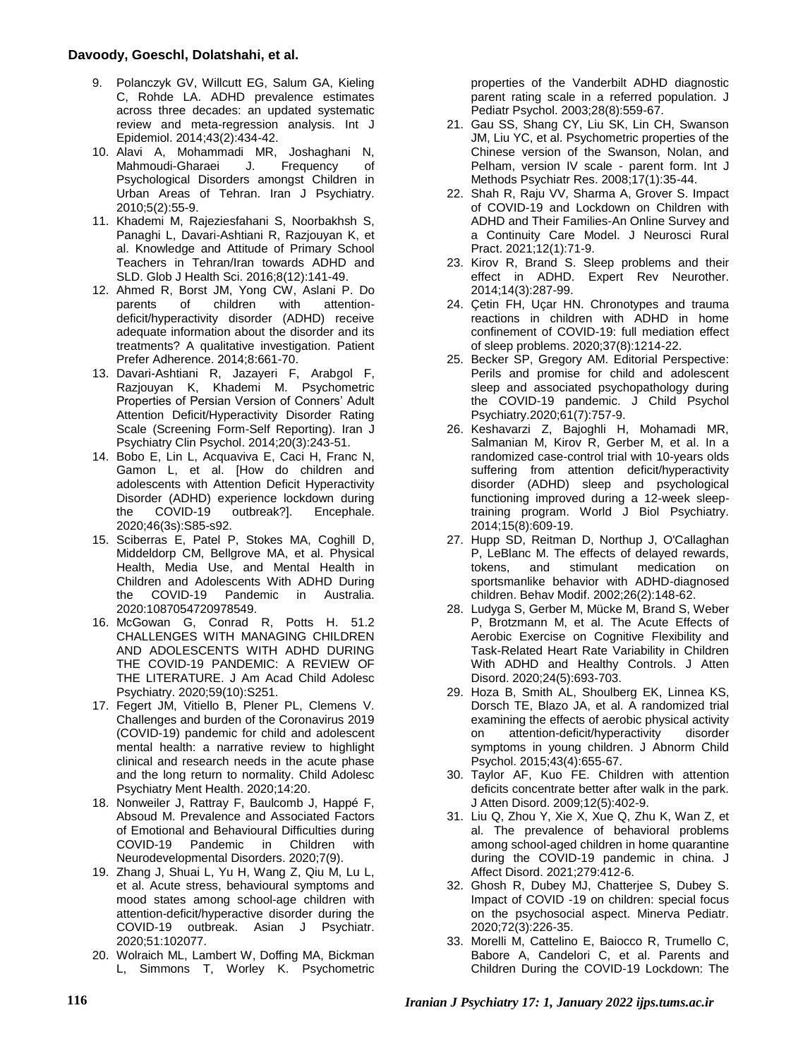### **Davoody, Goeschl, Dolatshahi, et al.**

- 9. Polanczyk GV, Willcutt EG, Salum GA, Kieling C, Rohde LA. ADHD prevalence estimates across three decades: an updated systematic review and meta-regression analysis. Int J Epidemiol. 2014;43(2):434-42.
- 10. Alavi A, Mohammadi MR, Joshaghani N, Mahmoudi-Gharaei Psychological Disorders amongst Children in Urban Areas of Tehran. Iran J Psychiatry. 2010;5(2):55-9.
- 11. Khademi M, Rajeziesfahani S, Noorbakhsh S, Panaghi L, Davari-Ashtiani R, Razjouyan K, et al. Knowledge and Attitude of Primary School Teachers in Tehran/Iran towards ADHD and SLD. Glob J Health Sci. 2016;8(12):141-49.
- 12. Ahmed R, Borst JM, Yong CW, Aslani P. Do<br>parents of children with attentionattentiondeficit/hyperactivity disorder (ADHD) receive adequate information about the disorder and its treatments? A qualitative investigation. Patient Prefer Adherence. 2014;8:661-70.
- 13. Davari-Ashtiani R, Jazayeri F, Arabgol F, Razjouyan K, Khademi M. Psychometric Properties of Persian Version of Conners' Adult Attention Deficit/Hyperactivity Disorder Rating Scale (Screening Form-Self Reporting). Iran J Psychiatry Clin Psychol. 2014;20(3):243-51.
- 14. Bobo E, Lin L, Acquaviva E, Caci H, Franc N, Gamon L, et al. [How do children and adolescents with Attention Deficit Hyperactivity Disorder (ADHD) experience lockdown during<br>the COVID-19 outbreak?l. Encephale. the COVID-19 outbreak?]. Encephale. 2020;46(3s):S85-s92.
- 15. Sciberras E, Patel P, Stokes MA, Coghill D, Middeldorp CM, Bellgrove MA, et al. Physical Health, Media Use, and Mental Health in Children and Adolescents With ADHD During the COVID-19 Pandemic in Australia. 2020:1087054720978549.
- 16. McGowan G, Conrad R, Potts H. 51.2 CHALLENGES WITH MANAGING CHILDREN AND ADOLESCENTS WITH ADHD DURING THE COVID-19 PANDEMIC: A REVIEW OF THE LITERATURE. J Am Acad Child Adolesc Psychiatry. 2020;59(10):S251.
- 17. Fegert JM, Vitiello B, Plener PL, Clemens V. Challenges and burden of the Coronavirus 2019 (COVID-19) pandemic for child and adolescent mental health: a narrative review to highlight clinical and research needs in the acute phase and the long return to normality. Child Adolesc Psychiatry Ment Health. 2020;14:20.
- 18. Nonweiler J, Rattray F, Baulcomb J, Happé F, Absoud M. Prevalence and Associated Factors of Emotional and Behavioural Difficulties during COVID-19 Pandemic in Children with Neurodevelopmental Disorders. 2020;7(9).
- 19. Zhang J, Shuai L, Yu H, Wang Z, Qiu M, Lu L, et al. Acute stress, behavioural symptoms and mood states among school-age children with attention-deficit/hyperactive disorder during the COVID-19 outbreak. Asian J Psychiatr. 2020;51:102077.
- 20. Wolraich ML, Lambert W, Doffing MA, Bickman L, Simmons T, Worley K. Psychometric

properties of the Vanderbilt ADHD diagnostic parent rating scale in a referred population. J Pediatr Psychol. 2003;28(8):559-67.

- 21. Gau SS, Shang CY, Liu SK, Lin CH, Swanson JM, Liu YC, et al. Psychometric properties of the Chinese version of the Swanson, Nolan, and Pelham, version IV scale - parent form. Int J Methods Psychiatr Res. 2008;17(1):35-44.
- 22. Shah R, Raju VV, Sharma A, Grover S. Impact of COVID-19 and Lockdown on Children with ADHD and Their Families-An Online Survey and a Continuity Care Model. J Neurosci Rural Pract. 2021;12(1):71-9.
- 23. Kirov R, Brand S. Sleep problems and their effect in ADHD. Expert Rev Neurother. 2014;14(3):287-99.
- 24. Çetin FH, Uçar HN. Chronotypes and trauma reactions in children with ADHD in home confinement of COVID-19: full mediation effect of sleep problems. 2020;37(8):1214-22.
- 25. Becker SP, Gregory AM. Editorial Perspective: Perils and promise for child and adolescent sleep and associated psychopathology during the COVID-19 pandemic. J Child Psychol Psychiatry.2020;61(7):757-9.
- 26. Keshavarzi Z, Bajoghli H, Mohamadi MR, Salmanian M, Kirov R, Gerber M, et al. In a randomized case-control trial with 10-years olds suffering from attention deficit/hyperactivity disorder (ADHD) sleep and psychological functioning improved during a 12-week sleeptraining program. World J Biol Psychiatry. 2014;15(8):609-19.
- 27. Hupp SD, Reitman D, Northup J, O'Callaghan P, LeBlanc M. The effects of delayed rewards,<br>tokens, and stimulant medication on medication on sportsmanlike behavior with ADHD-diagnosed children. Behav Modif. 2002;26(2):148-62.
- 28. Ludyga S, Gerber M, Mücke M, Brand S, Weber P, Brotzmann M, et al. The Acute Effects of Aerobic Exercise on Cognitive Flexibility and Task-Related Heart Rate Variability in Children With ADHD and Healthy Controls. J Atten Disord. 2020;24(5):693-703.
- 29. Hoza B, Smith AL, Shoulberg EK, Linnea KS, Dorsch TE, Blazo JA, et al. A randomized trial examining the effects of aerobic physical activity on attention-deficit/hyperactivity disorder symptoms in young children. J Abnorm Child Psychol. 2015;43(4):655-67.
- 30. Taylor AF, Kuo FE. Children with attention deficits concentrate better after walk in the park. J Atten Disord. 2009;12(5):402-9.
- 31. Liu Q, Zhou Y, Xie X, Xue Q, Zhu K, Wan Z, et al. The prevalence of behavioral problems among school-aged children in home quarantine during the COVID-19 pandemic in china. J Affect Disord. 2021;279:412-6.
- 32. Ghosh R, Dubey MJ, Chatterjee S, Dubey S. Impact of COVID -19 on children: special focus on the psychosocial aspect. Minerva Pediatr. 2020;72(3):226-35.
- 33. Morelli M, Cattelino E, Baiocco R, Trumello C, Babore A, Candelori C, et al. Parents and Children During the COVID-19 Lockdown: The